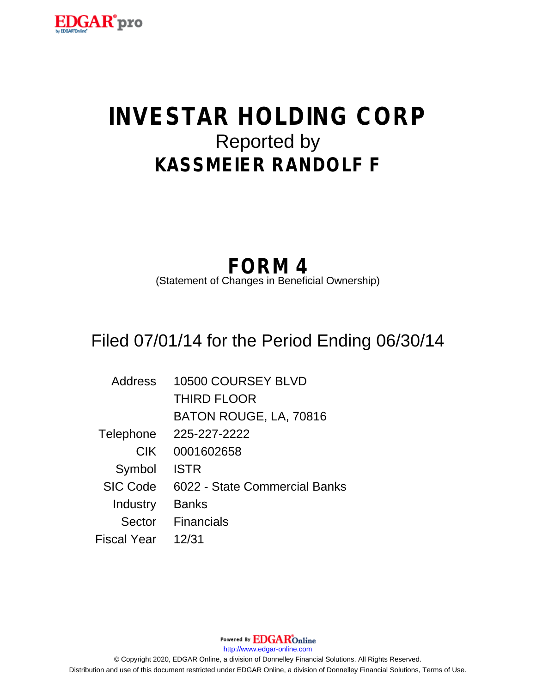

# **INVESTAR HOLDING CORP** Reported by **KASSMEIER RANDOLF F**

## **FORM 4**

(Statement of Changes in Beneficial Ownership)

## Filed 07/01/14 for the Period Ending 06/30/14

| Address         | 10500 COURSEY BLVD            |
|-----------------|-------------------------------|
|                 | <b>THIRD FLOOR</b>            |
|                 | BATON ROUGE, LA, 70816        |
| Telephone       | 225-227-2222                  |
| <b>CIK</b>      | 0001602658                    |
| Symbol          | <b>ISTR</b>                   |
| <b>SIC Code</b> | 6022 - State Commercial Banks |
| Industry        | <b>Banks</b>                  |
| Sector          | <b>Financials</b>             |
| Fiscal Year     | 12/31                         |

Powered By **EDGAR**Online http://www.edgar-online.com © Copyright 2020, EDGAR Online, a division of Donnelley Financial Solutions. All Rights Reserved. Distribution and use of this document restricted under EDGAR Online, a division of Donnelley Financial Solutions, Terms of Use.